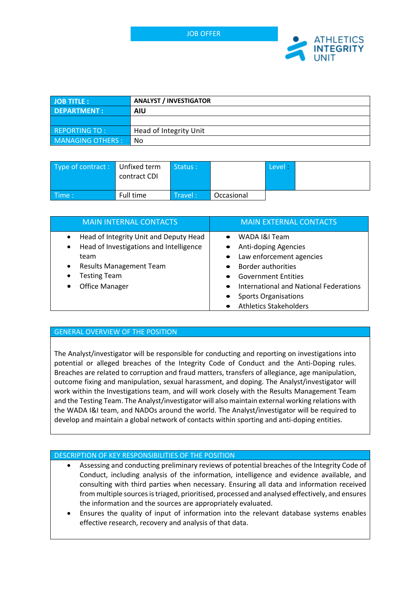

| <b>JOB TITLE:</b>    | <b>ANALYST / INVESTIGATOR</b> |  |
|----------------------|-------------------------------|--|
| <b>DEPARTMENT:</b>   | <b>AIU</b>                    |  |
|                      |                               |  |
| <b>REPORTING TO:</b> | Head of Integrity Unit        |  |
| MANAGING OTHERS :    | No                            |  |

| Type of contract: Unfixed term | contract CDI | Status: |            | Level: |  |
|--------------------------------|--------------|---------|------------|--------|--|
| $\blacksquare$ Time :          | Full time    | Travel: | Occasional |        |  |

| <b>MAIN INTERNAL CONTACTS</b>                                                                                                                                                                                                   | <b>MAIN EXTERNAL CONTACTS</b>                                                                                                                                                                               |
|---------------------------------------------------------------------------------------------------------------------------------------------------------------------------------------------------------------------------------|-------------------------------------------------------------------------------------------------------------------------------------------------------------------------------------------------------------|
| Head of Integrity Unit and Deputy Head<br>$\bullet$<br>Head of Investigations and Intelligence<br>$\bullet$<br>team<br><b>Results Management Team</b><br>$\bullet$<br><b>Testing Team</b><br>$\bullet$<br><b>Office Manager</b> | WADA I&I Team<br>Anti-doping Agencies<br>Law enforcement agencies<br>Border authorities<br><b>Government Entities</b><br>International and National Federations<br>$\bullet$<br><b>Sports Organisations</b> |
|                                                                                                                                                                                                                                 | <b>Athletics Stakeholders</b>                                                                                                                                                                               |

#### GENERAL OVERVIEW OF THE POSITION

The Analyst/investigator will be responsible for conducting and reporting on investigations into potential or alleged breaches of the Integrity Code of Conduct and the Anti-Doping rules. Breaches are related to corruption and fraud matters, transfers of allegiance, age manipulation, outcome fixing and manipulation, sexual harassment, and doping. The Analyst/investigator will work within the Investigations team, and will work closely with the Results Management Team and the Testing Team. The Analyst/investigator will also maintain external working relations with the WADA I&I team, and NADOs around the world. The Analyst/investigator will be required to develop and maintain a global network of contacts within sporting and anti-doping entities.

#### DESCRIPTION OF KEY RESPONSIBILITIES OF THE POSITION

- Assessing and conducting preliminary reviews of potential breaches of the Integrity Code of Conduct, including analysis of the information, intelligence and evidence available, and consulting with third parties when necessary. Ensuring all data and information received from multiple sources is triaged, prioritised, processed and analysed effectively, and ensures the information and the sources are appropriately evaluated.
- Ensures the quality of input of information into the relevant database systems enables effective research, recovery and analysis of that data.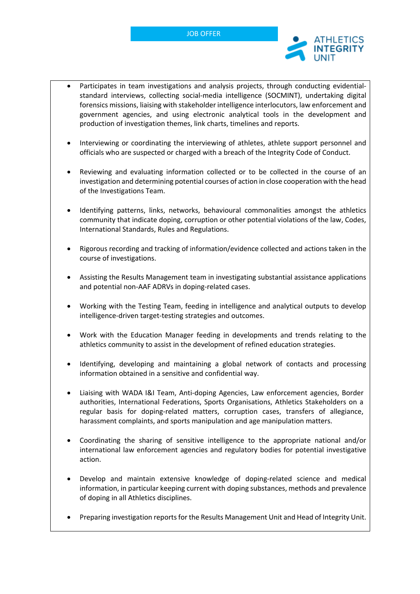

- Participates in team investigations and analysis projects, through conducting evidentialstandard interviews, collecting social-media intelligence (SOCMINT), undertaking digital forensics missions, liaising with stakeholder intelligence interlocutors, law enforcement and government agencies, and using electronic analytical tools in the development and production of investigation themes, link charts, timelines and reports.
- Interviewing or coordinating the interviewing of athletes, athlete support personnel and officials who are suspected or charged with a breach of the Integrity Code of Conduct.
- Reviewing and evaluating information collected or to be collected in the course of an investigation and determining potential courses of action in close cooperation with the head of the Investigations Team.
- Identifying patterns, links, networks, behavioural commonalities amongst the athletics community that indicate doping, corruption or other potential violations of the law, Codes, International Standards, Rules and Regulations.
- Rigorous recording and tracking of information/evidence collected and actions taken in the course of investigations.
- Assisting the Results Management team in investigating substantial assistance applications and potential non-AAF ADRVs in doping-related cases.
- Working with the Testing Team, feeding in intelligence and analytical outputs to develop intelligence-driven target-testing strategies and outcomes.
- Work with the Education Manager feeding in developments and trends relating to the athletics community to assist in the development of refined education strategies.
- Identifying, developing and maintaining a global network of contacts and processing information obtained in a sensitive and confidential way.
- Liaising with WADA I&I Team, Anti-doping Agencies, Law enforcement agencies, Border authorities, International Federations, Sports Organisations, Athletics Stakeholders on a regular basis for doping-related matters, corruption cases, transfers of allegiance, harassment complaints, and sports manipulation and age manipulation matters.
- Coordinating the sharing of sensitive intelligence to the appropriate national and/or international law enforcement agencies and regulatory bodies for potential investigative action.
- Develop and maintain extensive knowledge of doping-related science and medical information, in particular keeping current with doping substances, methods and prevalence of doping in all Athletics disciplines.
- Preparing investigation reports for the Results Management Unit and Head of Integrity Unit.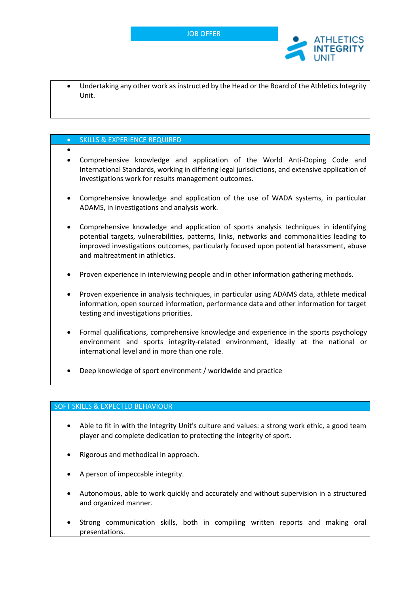

• Undertaking any other work as instructed by the Head or the Board of the Athletics Integrity Unit.

#### • SKILLS & EXPERIENCE REQUIRED

- - Comprehensive knowledge and application of the World Anti-Doping Code and International Standards, working in differing legal jurisdictions, and extensive application of investigations work for results management outcomes.
- Comprehensive knowledge and application of the use of WADA systems, in particular ADAMS, in investigations and analysis work.
- Comprehensive knowledge and application of sports analysis techniques in identifying potential targets, vulnerabilities, patterns, links, networks and commonalities leading to improved investigations outcomes, particularly focused upon potential harassment, abuse and maltreatment in athletics.
- Proven experience in interviewing people and in other information gathering methods.
- Proven experience in analysis techniques, in particular using ADAMS data, athlete medical information, open sourced information, performance data and other information for target testing and investigations priorities.
- Formal qualifications, comprehensive knowledge and experience in the sports psychology environment and sports integrity-related environment, ideally at the national or international level and in more than one role.
- Deep knowledge of sport environment / worldwide and practice

#### SOFT SKILLS & EXPECTED BEHAVIOUR

- Able to fit in with the Integrity Unit's culture and values: a strong work ethic, a good team player and complete dedication to protecting the integrity of sport.
- Rigorous and methodical in approach.
- A person of impeccable integrity.
- Autonomous, able to work quickly and accurately and without supervision in a structured and organized manner.
- Strong communication skills, both in compiling written reports and making oral presentations.